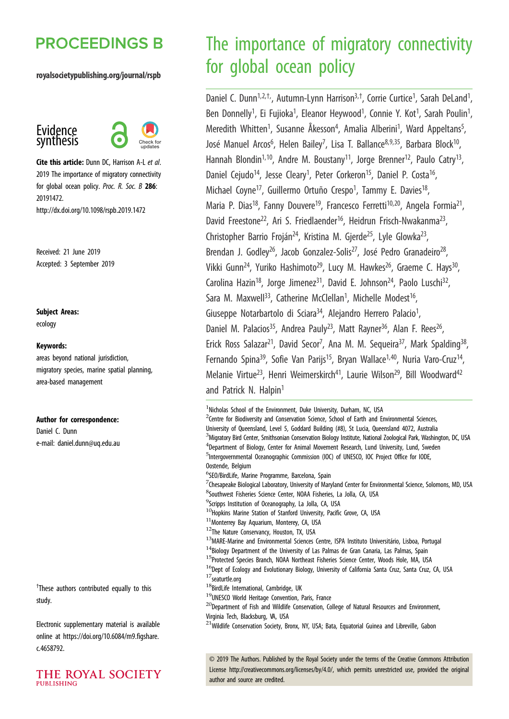## **PROCEEDINGS B**

#### royalsocietypublishing.org/journal/rspb

# Evidence synthesis



Cite this article: Dunn DC, Harrison A-L et al. 2019 The importance of migratory connectivity for global ocean policy. Proc. R. Soc. B 286: 20191472. http://dx.doi.org/10.1098/rspb.2019.1472

Received: 21 June 2019 Accepted: 3 September 2019

Subject Areas: ecology

#### Keywords:

areas beyond national jurisdiction, migratory species, marine spatial planning, area-based management

Author for correspondence:

Daniel C. Dunn e-mail: [daniel.dunn@uq.edu.au](mailto:daniel.dunn@uq.edu.au)

<sup>†</sup>These authors contributed equally to this study.

Electronic supplementary material is available online at [https://doi.org/10.6084/m9.figshare.](https://doi.org/10.6084/m9.figshare.c.4658792) [c.4658792.](https://doi.org/10.6084/m9.figshare.c.4658792)



## The importance of migratory connectivity for global ocean policy

Daniel C. Dunn<sup>1,2,†,</sup>, Autumn-Lynn Harrison<sup>3,†</sup>, Corrie Curtice<sup>1</sup>, Sarah DeLand<sup>1</sup> , Ben Donnelly<sup>1</sup>, Ei Fujioka<sup>1</sup>, Eleanor Heywood<sup>1</sup>, Connie Y. Kot<sup>1</sup>, Sarah Poulin<sup>1</sup> , Meredith Whitten<sup>1</sup>, Susanne Åkesson<sup>4</sup>, Amalia Alberini<sup>1</sup>, Ward Appeltans<sup>5</sup> .<br>, José Manuel Arcos<sup>6</sup>, Helen Bailey<sup>7</sup>, Lisa T. Ballance<sup>8,9,35</sup>, Barbara Block<sup>10</sup>, Hannah Blondin<sup>1,10</sup>, Andre M. Boustany<sup>11</sup>, Jorge Brenner<sup>12</sup>, Paulo Catry<sup>13</sup>, Daniel Cejudo<sup>14</sup>, Jesse Cleary<sup>1</sup>, Peter Corkeron<sup>15</sup>, Daniel P. Costa<sup>16</sup>, Michael Coyne<sup>17</sup>, Guillermo Ortuño Crespo<sup>1</sup>, Tammy E. Davies<sup>18</sup>, Maria P. Dias<sup>18</sup>, Fanny Douvere<sup>19</sup>, Francesco Ferretti<sup>10,20</sup>, Angela Formia<sup>21</sup>, David Freestone<sup>22</sup>, Ari S. Friedlaender<sup>16</sup>, Heidrun Frisch-Nwakanma<sup>23</sup>. Christopher Barrio Froján<sup>24</sup>, Kristina M. Gjerde<sup>25</sup>, Lyle Glowka<sup>23</sup>, Brendan J. Godley<sup>26</sup>, Jacob Gonzalez-Solis<sup>27</sup>, José Pedro Granadeiro<sup>28</sup>, Vikki Gunn<sup>24</sup>, Yuriko Hashimoto<sup>29</sup>, Lucy M. Hawkes<sup>26</sup>, Graeme C. Hays<sup>30</sup>, Carolina Hazin<sup>18</sup>, Jorge Jimenez<sup>31</sup>, David E. Johnson<sup>24</sup>, Paolo Luschi<sup>32</sup>, Sara M. Maxwell<sup>33</sup>, Catherine McClellan<sup>1</sup>, Michelle Modest<sup>16</sup>, Giuseppe Notarbartolo di Sciara<sup>34</sup>, Alejandro Herrero Palacio<sup>1</sup>, , Daniel M. Palacios<sup>35</sup>, Andrea Pauly<sup>23</sup>, Matt Rayner<sup>36</sup>, Alan F. Rees<sup>26</sup>, Erick Ross Salazar<sup>21</sup>, David Secor<sup>7</sup>, Ana M. M. Sequeira<sup>37</sup>, Mark Spalding<sup>38</sup>, Fernando Spina<sup>39</sup>, Sofie Van Parijs<sup>15</sup>, Bryan Wallace<sup>1,40</sup>, Nuria Varo-Cruz<sup>14</sup>, Melanie Virtue<sup>23</sup>, Henri Weimerskirch<sup>41</sup>, Laurie Wilson<sup>29</sup>, Bill Woodward<sup>42</sup> and Patrick N. Halpin<sup>1</sup>

<sup>1</sup> Nicholas School of the Environment, Duke University, Durham, NC, USA <sup>2</sup> Centre for Biodiversity and Conservation Science, School of Earth and Environmental Sciences, University of Queensland, Level 5, Goddard Building (#8), St Lucia, Queensland 4072, Australia <sup>3</sup>Migratory Bird Center, Smithsonian Conservation Biology Institute, National Zoological Park, Washington, DC, USA <sup>4</sup>Department of Biology, Center for Animal Movement Research, Lund University, Lund, Sweden <sup>5</sup>Intergovernmental Oceanographic Commission (IOC) of UNESCO, IOC Project Office for IODE, Oostende, Belgium 6 SEO/BirdLife, Marine Programme, Barcelona, Spain  $^7$ Chesapeake Biological Laboratory, University of Maryland Center for Environmental Science, Solomons, MD, USA 8 Southwest Fisheries Science Center, NOAA Fisheries, La Jolla, CA, USA <sup>9</sup> Scripps Institution of Oceanography, La Jolla, CA, USA  $10$ Hopkins Marine Station of Stanford University, Pacific Grove, CA, USA 11 Monterrey Bay Aquarium, Monterey, CA, USA 12The Nature Conservancy, Houston, TX, USA <sup>13</sup>MARE-Marine and Environmental Sciences Centre, ISPA Instituto Universitário, Lisboa, Portugal  $14$ Biology Department of the University of Las Palmas de Gran Canaria, Las Palmas, Spain <sup>15</sup>Protected Species Branch, NOAA Northeast Fisheries Science Center, Woods Hole, MA, USA <sup>16</sup>Dept of Ecology and Evolutionary Biology, University of California Santa Cruz, Santa Cruz, CA, USA <sup>17</sup>seaturtle.org 18BirdLife International, Cambridge, UK <sup>19</sup>UNESCO World Heritage Convention, Paris, France <sup>20</sup>Department of Fish and Wildlife Conservation, College of Natural Resources and Environment, Virginia Tech, Blacksburg, VA, USA  $21$ Wildlife Conservation Society, Bronx, NY, USA; Bata, Equatorial Guinea and Libreville, Gabon

© 2019 The Authors. Published by the Royal Society under the terms of the Creative Commons Attribution License<http://creativecommons.org/licenses/by/4.0/>, which permits unrestricted use, provided the original author and source are credited.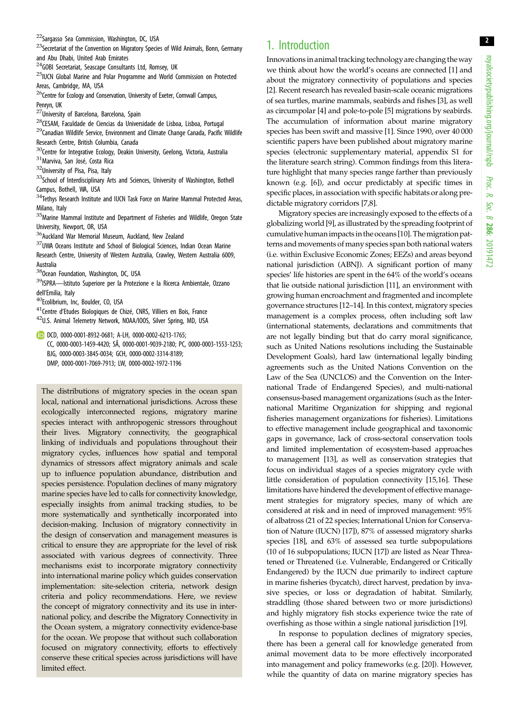<sup>22</sup>Sargasso Sea Commission, Washington, DC, USA

<sup>23</sup>Secretariat of the Convention on Migratory Species of Wild Animals, Bonn, Germany and Abu Dhabi, United Arab Emirates

<sup>24</sup>GOBI Secretariat, Seascape Consultants Ltd, Romsey, UK

<sup>25</sup>IUCN Global Marine and Polar Programme and World Commission on Protected Areas, Cambridge, MA, USA

 $26$ Centre for Ecology and Conservation, University of Exeter, Cornwall Campus, Penryn, UK

<sup>27</sup>University of Barcelona, Barcelona, Spain

<sup>28</sup>CESAM, Faculdade de Ciencias da Universidade de Lisboa, Lisboa, Portugal <sup>29</sup> Canadian Wildlife Service, Environment and Climate Change Canada, Pacific Wildlife Research Centre, British Columbia, Canada

 $30$ Centre for Integrative Ecology, Deakin University, Geelong, Victoria, Australia

<sup>31</sup>Marviva, San José, Costa Rica

32University of Pisa, Pisa, Italy

<sup>33</sup>School of Interdisciplinary Arts and Sciences, University of Washington, Bothell Campus, Bothell, WA, USA

 $34$ Tethys Research Institute and IUCN Task Force on Marine Mammal Protected Areas, Milano, Italy

<sup>35</sup>Marine Mammal Institute and Department of Fisheries and Wildlife, Oregon State University, Newport, OR, USA

<sup>36</sup>Auckland War Memorial Museum, Auckland, New Zealand

 $37$ UWA Oceans Institute and School of Biological Sciences, Indian Ocean Marine Research Centre, University of Western Australia, Crawley, Western Australia 6009, Australia

38Ocean Foundation, Washington, DC, USA

<sup>39</sup>ISPRA—Istituto Superiore per la Protezione e la Ricerca Ambientale, Ozzano dell'Emilia, Italy

<sup>40</sup>Ecolibrium, Inc, Boulder, CO, USA

<sup>41</sup>Centre d'Etudes Biologiques de Chizé, CNRS, Villiers en Bois, France

<sup>42</sup>U.S. Animal Telemetry Network, NOAA/IOOS, Silver Spring, MD, USA

DCD, [0000-0001-8932-0681](http://orcid.org/0000-0001-8932-0681); A-LH, [0000-0002-6213-1765](http://orcid.org/0000-0002-6213-1765); CC, [0000-0003-1459-4420](http://orcid.org/0000-0003-1459-4420); SÅ, [0000-0001-9039-2180;](http://orcid.org/0000-0001-9039-2180) PC, [0000-0003-1553-1253;](http://orcid.org/0000-0003-1553-1253) BJG, [0000-0003-3845-0034;](http://orcid.org/0000-0003-3845-0034) GCH, [0000-0002-3314-8189;](http://orcid.org/0000-0002-3314-8189) DMP, [0000-0001-7069-7913](http://orcid.org/0000-0001-7069-7913); LW, [0000-0002-1972-1196](http://orcid.org/0000-0002-1972-1196)

The distributions of migratory species in the ocean span local, national and international jurisdictions. Across these ecologically interconnected regions, migratory marine species interact with anthropogenic stressors throughout their lives. Migratory connectivity, the geographical linking of individuals and populations throughout their migratory cycles, influences how spatial and temporal dynamics of stressors affect migratory animals and scale up to influence population abundance, distribution and species persistence. Population declines of many migratory marine species have led to calls for connectivity knowledge, especially insights from animal tracking studies, to be more systematically and synthetically incorporated into decision-making. Inclusion of migratory connectivity in the design of conservation and management measures is critical to ensure they are appropriate for the level of risk associated with various degrees of connectivity. Three mechanisms exist to incorporate migratory connectivity into international marine policy which guides conservation implementation: site-selection criteria, network design criteria and policy recommendations. Here, we review the concept of migratory connectivity and its use in international policy, and describe the Migratory Connectivity in the Ocean system, a migratory connectivity evidence-base for the ocean. We propose that without such collaboration focused on migratory connectivity, efforts to effectively conserve these critical species across jurisdictions will have limited effect.

### 1. Introduction

Innovations in animal tracking technology are changing theway we think about how the world's oceans are connected [[1](#page-8-0)] and about the migratory connectivity of populations and species [[2](#page-8-0)]. Recent research has revealed basin-scale oceanic migrations of sea turtles, marine mammals, seabirds and fishes [[3](#page-8-0)], as well as circumpolar [\[4\]](#page-8-0) and pole-to-pole [\[5](#page-8-0)] migrations by seabirds. The accumulation of information about marine migratory species has been swift and massive [[1](#page-8-0)]. Since 1990, over 40 000 scientific papers have been published about migratory marine species (electronic supplementary material, appendix S1 for the literature search string). Common findings from this literature highlight that many species range farther than previously known (e.g. [[6](#page-8-0)]), and occur predictably at specific times in specific places, in association with specific habitats or along predictable migratory corridors [\[7,8](#page-8-0)].

Migratory species are increasingly exposed to the effects of a globalizing world [\[9](#page-8-0)], as illustrated by the spreading footprint of cumulative humanimpactsin the oceans [\[10\]](#page-8-0). Themigration patterns and movements of many species span both national waters (i.e. within Exclusive Economic Zones; EEZs) and areas beyond national jurisdiction (ABNJ). A significant portion of many species' life histories are spent in the 64% of the world's oceans that lie outside national jurisdiction [[11](#page-8-0)], an environment with growing human encroachment and fragmented and incomplete governance structures [\[12](#page-8-0)–[14\]](#page-8-0). In this context, migratory species management is a complex process, often including soft law (international statements, declarations and commitments that are not legally binding but that do carry moral significance, such as United Nations resolutions including the Sustainable Development Goals), hard law (international legally binding agreements such as the United Nations Convention on the Law of the Sea (UNCLOS) and the Convention on the International Trade of Endangered Species), and multi-national consensus-based management organizations (such as the International Maritime Organization for shipping and regional fisheries management organizations for fisheries). Limitations to effective management include geographical and taxonomic gaps in governance, lack of cross-sectoral conservation tools and limited implementation of ecosystem-based approaches to management [[13](#page-8-0)], as well as conservation strategies that focus on individual stages of a species migratory cycle with little consideration of population connectivity [\[15,16](#page-8-0)]. These limitations have hindered the development of effective management strategies for migratory species, many of which are considered at risk and in need of improved management: 95% of albatross (21 of 22 species; International Union for Conservation of Nature (IUCN) [[17](#page-8-0)]), 87% of assessed migratory sharks species [\[18\]](#page-8-0), and 63% of assessed sea turtle subpopulations (10 of 16 subpopulations; IUCN [[17\]](#page-8-0)) are listed as Near Threatened or Threatened (i.e. Vulnerable, Endangered or Critically Endangered) by the IUCN due primarily to indirect capture in marine fisheries (bycatch), direct harvest, predation by invasive species, or loss or degradation of habitat. Similarly, straddling (those shared between two or more jurisdictions) and highly migratory fish stocks experience twice the rate of overfishing as those within a single national jurisdiction [\[19\]](#page-8-0).

In response to population declines of migratory species, there has been a general call for knowledge generated from animal movement data to be more effectively incorporated into management and policy frameworks (e.g. [\[20](#page-8-0)]). However, while the quantity of data on marine migratory species has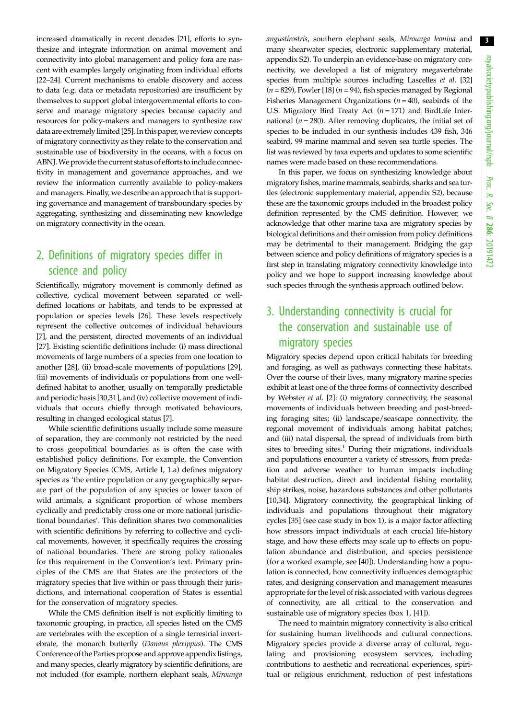increased dramatically in recent decades [\[21](#page-8-0)], efforts to synthesize and integrate information on animal movement and connectivity into global management and policy fora are nascent with examples largely originating from individual efforts [\[22](#page-8-0)–[24](#page-8-0)]. Current mechanisms to enable discovery and access to data (e.g. data or metadata repositories) are insufficient by themselves to support global intergovernmental efforts to conserve and manage migratory species because capacity and resources for policy-makers and managers to synthesize raw data are extremely limited [[25](#page-8-0)]. In this paper, we review concepts of migratory connectivity as they relate to the conservation and sustainable use of biodiversity in the oceans, with a focus on ABNJ.We provide the current status of efforts to include connectivity in management and governance approaches, and we review the information currently available to policy-makers and managers. Finally, we describe an approach that is supporting governance and management of transboundary species by aggregating, synthesizing and disseminating new knowledge on migratory connectivity in the ocean.

## 2. Definitions of migratory species differ in science and policy

Scientifically, migratory movement is commonly defined as collective, cyclical movement between separated or welldefined locations or habitats, and tends to be expressed at population or species levels [[26\]](#page-8-0). These levels respectively represent the collective outcomes of individual behaviours [\[7\]](#page-8-0), and the persistent, directed movements of an individual [\[27](#page-8-0)]. Existing scientific definitions include: (i) mass directional movements of large numbers of a species from one location to another [[28\]](#page-8-0), (ii) broad-scale movements of populations [\[29](#page-8-0)], (iii) movements of individuals or populations from one welldefined habitat to another, usually on temporally predictable and periodic basis [[30](#page-8-0),[31\]](#page-8-0), and (iv) collective movement of individuals that occurs chiefly through motivated behaviours, resulting in changed ecological status [[7](#page-8-0)].

While scientific definitions usually include some measure of separation, they are commonly not restricted by the need to cross geopolitical boundaries as is often the case with established policy definitions. For example, the Convention on Migratory Species (CMS, Article I, 1.a) defines migratory species as 'the entire population or any geographically separate part of the population of any species or lower taxon of wild animals, a significant proportion of whose members cyclically and predictably cross one or more national jurisdictional boundaries'. This definition shares two commonalities with scientific definitions by referring to collective and cyclical movements, however, it specifically requires the crossing of national boundaries. There are strong policy rationales for this requirement in the Convention's text. Primary principles of the CMS are that States are the protectors of the migratory species that live within or pass through their jurisdictions, and international cooperation of States is essential for the conservation of migratory species.

While the CMS definition itself is not explicitly limiting to taxonomic grouping, in practice, all species listed on the CMS are vertebrates with the exception of a single terrestrial invertebrate, the monarch butterfly (Danaus plexippus). The CMS Conference of the Parties propose and approve appendix listings, and many species, clearly migratory by scientific definitions, are not included (for example, northern elephant seals, Mirounga

angustirostris, southern elephant seals, Mirounga leonina and many shearwater species, electronic supplementary material, appendix S2). To underpin an evidence-base on migratory connectivity, we developed a list of migratory megavertebrate species from multiple sources including Lascelles et al. [\[32\]](#page-8-0)  $(n = 829)$ , Fowler [\[18](#page-8-0)]  $(n = 94)$ , fish species managed by Regional Fisheries Management Organizations ( $n = 40$ ), seabirds of the U.S. Migratory Bird Treaty Act  $(n = 171)$  and BirdLife International ( $n = 280$ ). After removing duplicates, the initial set of species to be included in our synthesis includes 439 fish, 346 seabird, 99 marine mammal and seven sea turtle species. The list was reviewed by taxa experts and updates to some scientific names were made based on these recommendations.

In this paper, we focus on synthesizing knowledge about migratory fishes, marine mammals, seabirds, sharks and sea turtles (electronic supplementary material, appendix S2), because these are the taxonomic groups included in the broadest policy definition represented by the CMS definition. However, we acknowledge that other marine taxa are migratory species by biological definitions and their omission from policy definitions may be detrimental to their management. Bridging the gap between science and policy definitions of migratory species is a first step in translating migratory connectivity knowledge into policy and we hope to support increasing knowledge about such species through the synthesis approach outlined below.

## 3. Understanding connectivity is crucial for the conservation and sustainable use of migratory species

Migratory species depend upon critical habitats for breeding and foraging, as well as pathways connecting these habitats. Over the course of their lives, many migratory marine species exhibit at least one of the three forms of connectivity described by Webster et al. [[2](#page-8-0)]: (i) migratory connectivity, the seasonal movements of individuals between breeding and post-breeding foraging sites; (ii) landscape/seascape connectivity, the regional movement of individuals among habitat patches; and (iii) natal dispersal, the spread of individuals from birth sites to breeding sites.<sup>1</sup> During their migrations, individuals and populations encounter a variety of stressors, from predation and adverse weather to human impacts including habitat destruction, direct and incidental fishing mortality, ship strikes, noise, hazardous substances and other pollutants [[10,34\]](#page-8-0). Migratory connectivity, the geographical linking of individuals and populations throughout their migratory cycles [\[35](#page-8-0)] (see case study in [box 1\)](#page-3-0), is a major factor affecting how stressors impact individuals at each crucial life-history stage, and how these effects may scale up to effects on population abundance and distribution, and species persistence (for a worked example, see [\[40](#page-8-0)]). Understanding how a population is connected, how connectivity influences demographic rates, and designing conservation and management measures appropriate for the level of risk associated with various degrees of connectivity, are all critical to the conservation and sustainable use of migratory species ([box 1,](#page-3-0) [\[41](#page-8-0)]).

The need to maintain migratory connectivity is also critical for sustaining human livelihoods and cultural connections. Migratory species provide a diverse array of cultural, regulating and provisioning ecosystem services, including contributions to aesthetic and recreational experiences, spiritual or religious enrichment, reduction of pest infestations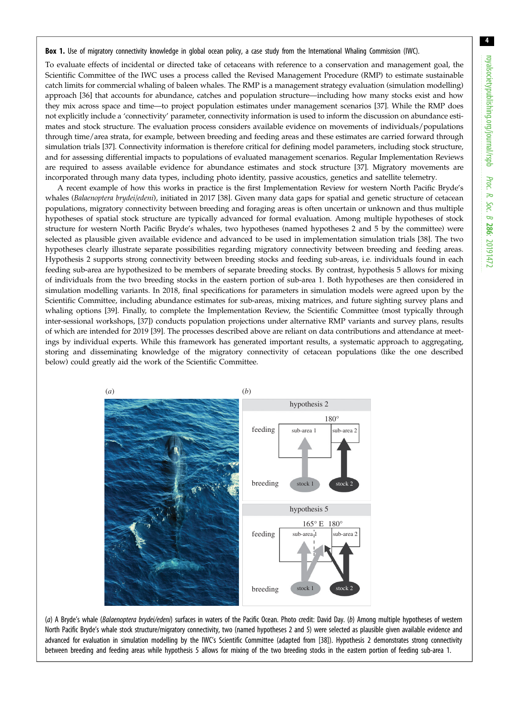<span id="page-3-0"></span>Box 1. Use of migratory connectivity knowledge in global ocean policy, a case study from the International Whaling Commission (IWC).

To evaluate effects of incidental or directed take of cetaceans with reference to a conservation and management goal, the Scientific Committee of the IWC uses a process called the Revised Management Procedure (RMP) to estimate sustainable catch limits for commercial whaling of baleen whales. The RMP is a management strategy evaluation (simulation modelling) approach [[36\]](#page-8-0) that accounts for abundance, catches and population structure—including how many stocks exist and how they mix across space and time—to project population estimates under management scenarios [[37\]](#page-8-0). While the RMP does not explicitly include a 'connectivity' parameter, connectivity information is used to inform the discussion on abundance estimates and stock structure. The evaluation process considers available evidence on movements of individuals/populations through time/area strata, for example, between breeding and feeding areas and these estimates are carried forward through simulation trials [[37\]](#page-8-0). Connectivity information is therefore critical for defining model parameters, including stock structure, and for assessing differential impacts to populations of evaluated management scenarios. Regular Implementation Reviews are required to assess available evidence for abundance estimates and stock structure [\[37](#page-8-0)]. Migratory movements are incorporated through many data types, including photo identity, passive acoustics, genetics and satellite telemetry.

A recent example of how this works in practice is the first Implementation Review for western North Pacific Bryde's whales (Balaenoptera brydei/edeni), initiated in 2017 [[38\]](#page-8-0). Given many data gaps for spatial and genetic structure of cetacean populations, migratory connectivity between breeding and foraging areas is often uncertain or unknown and thus multiple hypotheses of spatial stock structure are typically advanced for formal evaluation. Among multiple hypotheses of stock structure for western North Pacific Bryde's whales, two hypotheses (named hypotheses 2 and 5 by the committee) were selected as plausible given available evidence and advanced to be used in implementation simulation trials [[38\]](#page-8-0). The two hypotheses clearly illustrate separate possibilities regarding migratory connectivity between breeding and feeding areas. Hypothesis 2 supports strong connectivity between breeding stocks and feeding sub-areas, i.e. individuals found in each feeding sub-area are hypothesized to be members of separate breeding stocks. By contrast, hypothesis 5 allows for mixing of individuals from the two breeding stocks in the eastern portion of sub-area 1. Both hypotheses are then considered in simulation modelling variants. In 2018, final specifications for parameters in simulation models were agreed upon by the Scientific Committee, including abundance estimates for sub-areas, mixing matrices, and future sighting survey plans and whaling options [\[39](#page-8-0)]. Finally, to complete the Implementation Review, the Scientific Committee (most typically through inter-sessional workshops, [\[37](#page-8-0)]) conducts population projections under alternative RMP variants and survey plans, results of which are intended for 2019 [\[39](#page-8-0)]. The processes described above are reliant on data contributions and attendance at meetings by individual experts. While this framework has generated important results, a systematic approach to aggregating, storing and disseminating knowledge of the migratory connectivity of cetacean populations (like the one described below) could greatly aid the work of the Scientific Committee.



(a) A Bryde's whale (Balaenoptera brydei/edeni) surfaces in waters of the Pacific Ocean. Photo credit: David Day. (b) Among multiple hypotheses of western North Pacific Bryde's whale stock structure/migratory connectivity, two (named hypotheses 2 and 5) were selected as plausible given available evidence and advanced for evaluation in simulation modelling by the IWC's Scientific Committee (adapted from [\[38\]](#page-8-0)). Hypothesis 2 demonstrates strong connectivity between breeding and feeding areas while hypothesis 5 allows for mixing of the two breeding stocks in the eastern portion of feeding sub-area 1.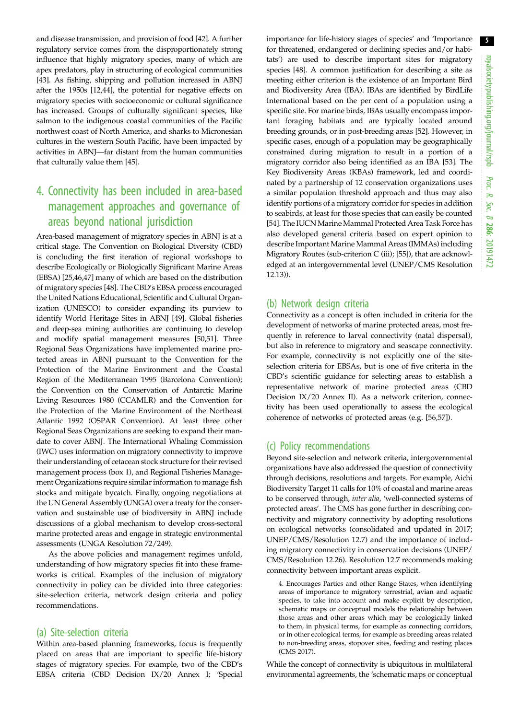and disease transmission, and provision of food [\[42](#page-8-0)]. A further regulatory service comes from the disproportionately strong influence that highly migratory species, many of which are apex predators, play in structuring of ecological communities [\[43](#page-8-0)]. As fishing, shipping and pollution increased in ABNJ after the 1950s [[12,44\]](#page-8-0), the potential for negative effects on migratory species with socioeconomic or cultural significance has increased. Groups of culturally significant species, like salmon to the indigenous coastal communities of the Pacific northwest coast of North America, and sharks to Micronesian cultures in the western South Pacific, have been impacted by activities in ABNJ—far distant from the human communities that culturally value them [\[45](#page-9-0)].

## 4. Connectivity has been included in area-based management approaches and governance of areas beyond national jurisdiction

Area-based management of migratory species in ABNJ is at a critical stage. The Convention on Biological Diversity (CBD) is concluding the first iteration of regional workshops to describe Ecologically or Biologically Significant Marine Areas (EBSA) [[25,](#page-8-0)[46,47\]](#page-9-0) many of which are based on the distribution of migratory species [\[48](#page-9-0)]. The CBD's EBSA process encouraged the United Nations Educational, Scientific and Cultural Organization (UNESCO) to consider expanding its purview to identify World Heritage Sites in ABNJ [\[49](#page-9-0)]. Global fisheries and deep-sea mining authorities are continuing to develop and modify spatial management measures [\[50](#page-9-0),[51](#page-9-0)]. Three Regional Seas Organizations have implemented marine protected areas in ABNJ pursuant to the Convention for the Protection of the Marine Environment and the Coastal Region of the Mediterranean 1995 (Barcelona Convention); the Convention on the Conservation of Antarctic Marine Living Resources 1980 (CCAMLR) and the Convention for the Protection of the Marine Environment of the Northeast Atlantic 1992 (OSPAR Convention). At least three other Regional Seas Organizations are seeking to expand their mandate to cover ABNJ. The International Whaling Commission (IWC) uses information on migratory connectivity to improve their understanding of cetacean stock structure for their revised management process ([box 1](#page-3-0)), and Regional Fisheries Management Organizations require similar information to manage fish stocks and mitigate bycatch. Finally, ongoing negotiations at the UN General Assembly (UNGA) over a treaty for the conservation and sustainable use of biodiversity in ABNJ include discussions of a global mechanism to develop cross-sectoral marine protected areas and engage in strategic environmental assessments (UNGA Resolution 72/249).

As the above policies and management regimes unfold, understanding of how migratory species fit into these frameworks is critical. Examples of the inclusion of migratory connectivity in policy can be divided into three categories: site-selection criteria, network design criteria and policy recommendations.

#### (a) Site-selection criteria

Within area-based planning frameworks, focus is frequently placed on areas that are important to specific life-history stages of migratory species. For example, two of the CBD's EBSA criteria (CBD Decision IX/20 Annex I; 'Special importance for life-history stages of species' and 'Importance for threatened, endangered or declining species and/or habitats') are used to describe important sites for migratory species [[48\]](#page-9-0). A common justification for describing a site as meeting either criterion is the existence of an Important Bird and Biodiversity Area (IBA). IBAs are identified by BirdLife International based on the per cent of a population using a specific site. For marine birds, IBAs usually encompass important foraging habitats and are typically located around breeding grounds, or in post-breeding areas [[52\]](#page-9-0). However, in specific cases, enough of a population may be geographically constrained during migration to result in a portion of a migratory corridor also being identified as an IBA [[53](#page-9-0)]. The Key Biodiversity Areas (KBAs) framework, led and coordinated by a partnership of 12 conservation organizations uses a similar population threshold approach and thus may also identify portions of a migratory corridor for species in addition to seabirds, at least for those species that can easily be counted [[54\]](#page-9-0). The IUCN Marine Mammal Protected Area Task Force has also developed general criteria based on expert opinion to describe Important Marine Mammal Areas (IMMAs) including Migratory Routes (sub-criterion C (iii); [\[55](#page-9-0)]), that are acknowledged at an intergovernmental level (UNEP/CMS Resolution 12.13)).

#### (b) Network design criteria

Connectivity as a concept is often included in criteria for the development of networks of marine protected areas, most frequently in reference to larval connectivity (natal dispersal), but also in reference to migratory and seascape connectivity. For example, connectivity is not explicitly one of the siteselection criteria for EBSAs, but is one of five criteria in the CBD's scientific guidance for selecting areas to establish a representative network of marine protected areas (CBD Decision IX/20 Annex II). As a network criterion, connectivity has been used operationally to assess the ecological coherence of networks of protected areas (e.g. [[56,57](#page-9-0)]).

#### (c) Policy recommendations

Beyond site-selection and network criteria, intergovernmental organizations have also addressed the question of connectivity through decisions, resolutions and targets. For example, Aichi Biodiversity Target 11 calls for 10% of coastal and marine areas to be conserved through, inter alia, 'well-connected systems of protected areas'. The CMS has gone further in describing connectivity and migratory connectivity by adopting resolutions on ecological networks (consolidated and updated in 2017; UNEP/CMS/Resolution 12.7) and the importance of including migratory connectivity in conservation decisions (UNEP/ CMS/Resolution 12.26). Resolution 12.7 recommends making connectivity between important areas explicit.

4. Encourages Parties and other Range States, when identifying areas of importance to migratory terrestrial, avian and aquatic species, to take into account and make explicit by description, schematic maps or conceptual models the relationship between those areas and other areas which may be ecologically linked to them, in physical terms, for example as connecting corridors, or in other ecological terms, for example as breeding areas related to non-breeding areas, stopover sites, feeding and resting places (CMS 2017).

While the concept of connectivity is ubiquitous in multilateral environmental agreements, the 'schematic maps or conceptual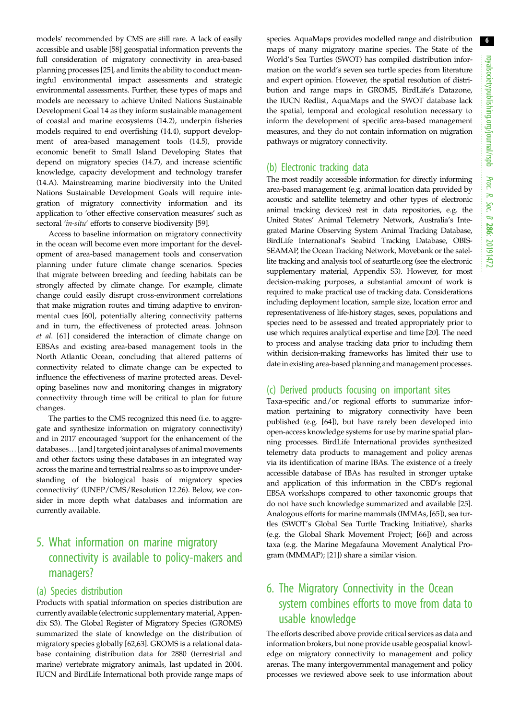models' recommended by CMS are still rare. A lack of easily accessible and usable [[58\]](#page-9-0) geospatial information prevents the full consideration of migratory connectivity in area-based planning processes [[25](#page-8-0)], and limits the ability to conduct meaningful environmental impact assessments and strategic environmental assessments. Further, these types of maps and models are necessary to achieve United Nations Sustainable Development Goal 14 as they inform sustainable management of coastal and marine ecosystems (14.2), underpin fisheries models required to end overfishing (14.4), support development of area-based management tools (14.5), provide economic benefit to Small Island Developing States that depend on migratory species (14.7), and increase scientific knowledge, capacity development and technology transfer (14.A). Mainstreaming marine biodiversity into the United Nations Sustainable Development Goals will require integration of migratory connectivity information and its application to 'other effective conservation measures' such as sectoral 'in-situ' efforts to conserve biodiversity [\[59](#page-9-0)].

Access to baseline information on migratory connectivity in the ocean will become even more important for the development of area-based management tools and conservation planning under future climate change scenarios. Species that migrate between breeding and feeding habitats can be strongly affected by climate change. For example, climate change could easily disrupt cross-environment correlations that make migration routes and timing adaptive to environmental cues [[60\]](#page-9-0), potentially altering connectivity patterns and in turn, the effectiveness of protected areas. Johnson et al. [\[61](#page-9-0)] considered the interaction of climate change on EBSAs and existing area-based management tools in the North Atlantic Ocean, concluding that altered patterns of connectivity related to climate change can be expected to influence the effectiveness of marine protected areas. Developing baselines now and monitoring changes in migratory connectivity through time will be critical to plan for future changes.

The parties to the CMS recognized this need (i.e. to aggregate and synthesize information on migratory connectivity) and in 2017 encouraged 'support for the enhancement of the databases… [and] targeted joint analyses of animal movements and other factors using these databases in an integrated way across the marine and terrestrial realms so as to improve understanding of the biological basis of migratory species connectivity' (UNEP/CMS/Resolution 12.26). Below, we consider in more depth what databases and information are currently available.

## 5. What information on marine migratory connectivity is available to policy-makers and managers?

#### (a) Species distribution

Products with spatial information on species distribution are currently available (electronic supplementary material, Appendix S3). The Global Register of Migratory Species (GROMS) summarized the state of knowledge on the distribution of migratory species globally [[62,63\]](#page-9-0). GROMS is a relational database containing distribution data for 2880 (terrestrial and marine) vertebrate migratory animals, last updated in 2004. IUCN and BirdLife International both provide range maps of species. AquaMaps provides modelled range and distribution maps of many migratory marine species. The State of the World's Sea Turtles (SWOT) has compiled distribution information on the world's seven sea turtle species from literature and expert opinion. However, the spatial resolution of distribution and range maps in GROMS, BirdLife's Datazone, the IUCN Redlist, AquaMaps and the SWOT database lack the spatial, temporal and ecological resolution necessary to inform the development of specific area-based management measures, and they do not contain information on migration pathways or migratory connectivity.

#### (b) Electronic tracking data

The most readily accessible information for directly informing area-based management (e.g. animal location data provided by acoustic and satellite telemetry and other types of electronic animal tracking devices) rest in data repositories, e.g. the United States' Animal Telemetry Network, Australia's Integrated Marine Observing System Animal Tracking Database, BirdLife International's Seabird Tracking Database, OBIS-SEAMAP, the Ocean Tracking Network, Movebank or the satellite tracking and analysis tool of seaturtle.org (see the electronic supplementary material, Appendix S3). However, for most decision-making purposes, a substantial amount of work is required to make practical use of tracking data. Considerations including deployment location, sample size, location error and representativeness of life-history stages, sexes, populations and species need to be assessed and treated appropriately prior to use which requires analytical expertise and time [\[20\]](#page-8-0). The need to process and analyse tracking data prior to including them within decision-making frameworks has limited their use to date in existing area-based planning and management processes.

#### (c) Derived products focusing on important sites

Taxa-specific and/or regional efforts to summarize information pertaining to migratory connectivity have been published (e.g. [\[64](#page-9-0)]), but have rarely been developed into open-access knowledge systems for use by marine spatial planning processes. BirdLife International provides synthesized telemetry data products to management and policy arenas via its identification of marine IBAs. The existence of a freely accessible database of IBAs has resulted in stronger uptake and application of this information in the CBD's regional EBSA workshops compared to other taxonomic groups that do not have such knowledge summarized and available [[25\]](#page-8-0). Analogous efforts for marine mammals (IMMAs, [[65](#page-9-0)]), sea turtles (SWOT's Global Sea Turtle Tracking Initiative), sharks (e.g. the Global Shark Movement Project; [\[66](#page-9-0)]) and across taxa (e.g. the Marine Megafauna Movement Analytical Program (MMMAP); [\[21](#page-8-0)]) share a similar vision.

## 6. The Migratory Connectivity in the Ocean system combines efforts to move from data to usable knowledge

The efforts described above provide critical services as data and information brokers, but none provide usable geospatial knowledge on migratory connectivity to management and policy arenas. The many intergovernmental management and policy processes we reviewed above seek to use information about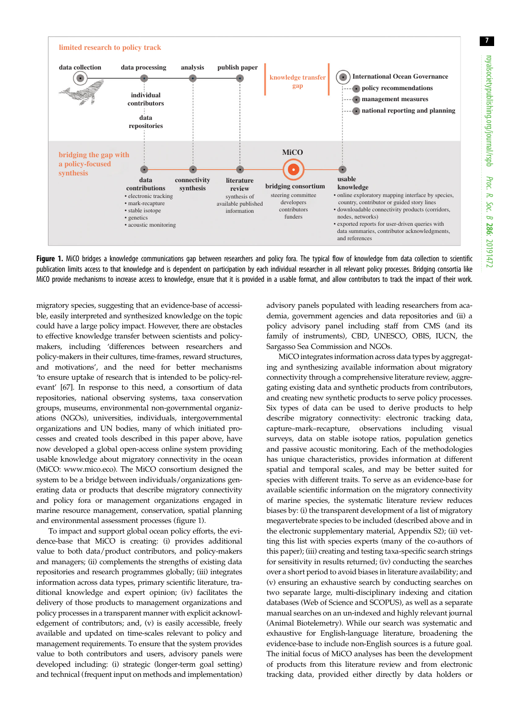

Figure 1. MiCO bridges a knowledge communications gap between researchers and policy fora. The typical flow of knowledge from data collection to scientific publication limits access to that knowledge and is dependent on participation by each individual researcher in all relevant policy processes. Bridging consortia like MiCO provide mechanisms to increase access to knowledge, ensure that it is provided in a usable format, and allow contributors to track the impact of their work.

migratory species, suggesting that an evidence-base of accessible, easily interpreted and synthesized knowledge on the topic could have a large policy impact. However, there are obstacles to effective knowledge transfer between scientists and policymakers, including 'differences between researchers and policy-makers in their cultures, time-frames, reward structures, and motivations', and the need for better mechanisms 'to ensure uptake of research that is intended to be policy-relevant' [\[67](#page-9-0)]. In response to this need, a consortium of data repositories, national observing systems, taxa conservation groups, museums, environmental non-governmental organizations (NGOs), universities, individuals, intergovernmental organizations and UN bodies, many of which initiated processes and created tools described in this paper above, have now developed a global open-access online system providing usable knowledge about migratory connectivity in the ocean (MiCO: [www.mico.eco\)](http://www.mico.eco). The MiCO consortium designed the system to be a bridge between individuals/organizations generating data or products that describe migratory connectivity and policy fora or management organizations engaged in marine resource management, conservation, spatial planning and environmental assessment processes (figure 1).

To impact and support global ocean policy efforts, the evidence-base that MiCO is creating: (i) provides additional value to both data/product contributors, and policy-makers and managers; (ii) complements the strengths of existing data repositories and research programmes globally; (iii) integrates information across data types, primary scientific literature, traditional knowledge and expert opinion; (iv) facilitates the delivery of those products to management organizations and policy processes in a transparent manner with explicit acknowledgement of contributors; and, (v) is easily accessible, freely available and updated on time-scales relevant to policy and management requirements. To ensure that the system provides value to both contributors and users, advisory panels were developed including: (i) strategic (longer-term goal setting) and technical (frequent input on methods and implementation) advisory panels populated with leading researchers from academia, government agencies and data repositories and (ii) a policy advisory panel including staff from CMS (and its family of instruments), CBD, UNESCO, OBIS, IUCN, the Sargasso Sea Commission and NGOs.

MiCO integrates information across data types by aggregating and synthesizing available information about migratory connectivity through a comprehensive literature review, aggregating existing data and synthetic products from contributors, and creating new synthetic products to serve policy processes. Six types of data can be used to derive products to help describe migratory connectivity: electronic tracking data, capture–mark–recapture, observations including visual surveys, data on stable isotope ratios, population genetics and passive acoustic monitoring. Each of the methodologies has unique characteristics, provides information at different spatial and temporal scales, and may be better suited for species with different traits. To serve as an evidence-base for available scientific information on the migratory connectivity of marine species, the systematic literature review reduces biases by: (i) the transparent development of a list of migratory megavertebrate species to be included (described above and in the electronic supplementary material, Appendix S2); (ii) vetting this list with species experts (many of the co-authors of this paper); (iii) creating and testing taxa-specific search strings for sensitivity in results returned; (iv) conducting the searches over a short period to avoid biases in literature availability; and (v) ensuring an exhaustive search by conducting searches on two separate large, multi-disciplinary indexing and citation databases (Web of Science and SCOPUS), as well as a separate manual searches on an un-indexed and highly relevant journal (Animal Biotelemetry). While our search was systematic and exhaustive for English-language literature, broadening the evidence-base to include non-English sources is a future goal. The initial focus of MiCO analyses has been the development of products from this literature review and from electronic tracking data, provided either directly by data holders or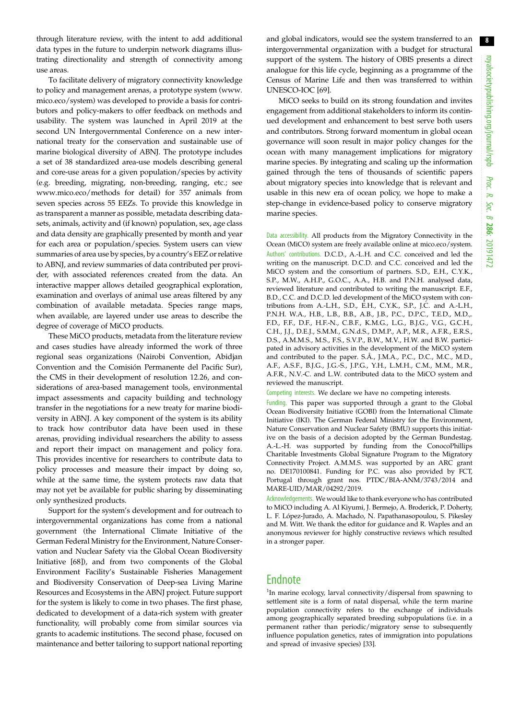through literature review, with the intent to add additional data types in the future to underpin network diagrams illustrating directionality and strength of connectivity among use areas.

To facilitate delivery of migratory connectivity knowledge to policy and management arenas, a prototype system [\(www.](http://www.mico.eco/system) [mico.eco/system\)](http://www.mico.eco/system) was developed to provide a basis for contributors and policy-makers to offer feedback on methods and usability. The system was launched in April 2019 at the second UN Intergovernmental Conference on a new international treaty for the conservation and sustainable use of marine biological diversity of ABNJ. The prototype includes a set of 38 standardized area-use models describing general and core-use areas for a given population/species by activity (e.g. breeding, migrating, non-breeding, ranging, etc.; see [www.mico.eco/methods](http://www.mico.eco/methods) for detail) for 357 animals from seven species across 55 EEZs. To provide this knowledge in as transparent a manner as possible, metadata describing datasets, animals, activity and (if known) population, sex, age class and data density are graphically presented by month and year for each area or population/species. System users can view summaries of area use by species, by a country's EEZ or relative to ABNJ, and review summaries of data contributed per provider, with associated references created from the data. An interactive mapper allows detailed geographical exploration, examination and overlays of animal use areas filtered by any combination of available metadata. Species range maps, when available, are layered under use areas to describe the degree of coverage of MiCO products.

These MiCO products, metadata from the literature review and cases studies have already informed the work of three regional seas organizations (Nairobi Convention, Abidjan Convention and the Comisión Permanente del Pacific Sur), the CMS in their development of resolution 12.26, and considerations of area-based management tools, environmental impact assessments and capacity building and technology transfer in the negotiations for a new treaty for marine biodiversity in ABNJ. A key component of the system is its ability to track how contributor data have been used in these arenas, providing individual researchers the ability to assess and report their impact on management and policy fora. This provides incentive for researchers to contribute data to policy processes and measure their impact by doing so, while at the same time, the system protects raw data that may not yet be available for public sharing by disseminating only synthesized products.

Support for the system's development and for outreach to intergovernmental organizations has come from a national government (the International Climate Initiative of the German Federal Ministry for the Environment, Nature Conservation and Nuclear Safety via the Global Ocean Biodiversity Initiative [\[68](#page-9-0)]), and from two components of the Global Environment Facility's Sustainable Fisheries Management and Biodiversity Conservation of Deep-sea Living Marine Resources and Ecosystems in the ABNJ project. Future support for the system is likely to come in two phases. The first phase, dedicated to development of a data-rich system with greater functionality, will probably come from similar sources via grants to academic institutions. The second phase, focused on maintenance and better tailoring to support national reporting and global indicators, would see the system transferred to an intergovernmental organization with a budget for structural support of the system. The history of OBIS presents a direct analogue for this life cycle, beginning as a programme of the Census of Marine Life and then was transferred to within UNESCO-IOC [[69\]](#page-9-0).

MiCO seeks to build on its strong foundation and invites engagement from additional stakeholders to inform its continued development and enhancement to best serve both users and contributors. Strong forward momentum in global ocean governance will soon result in major policy changes for the ocean with many management implications for migratory marine species. By integrating and scaling up the information gained through the tens of thousands of scientific papers about migratory species into knowledge that is relevant and usable in this new era of ocean policy, we hope to make a step-change in evidence-based policy to conserve migratory marine species.

Data accessibility. All products from the Migratory Connectivity in the Ocean (MiCO) system are freely available online at [mico.eco/system.](http://mico.eco/system) Authors' contributions. D.C.D., A.-L.H. and C.C. conceived and led the writing on the manuscript. D.C.D. and C.C. conceived and led the MiCO system and the consortium of partners. S.D., E.H., C.Y.K., S.P., M.W., A.H.P., G.O.C., A.A., H.B. and P.N.H. analysed data, reviewed literature and contributed to writing the manuscript. E.F., B.D., C.C. and D.C.D. led development of the MiCO system with contributions from A.-L.H., S.D., E.H., C.Y.K., S.P., J.C. and A.-L.H., P.N.H. W.A., H.B., L.B., B.B., A.B., J.B., P.C., D.P.C., T.E.D., M.D.,. F.D., F.F., D.F., H.F.-N., C.B.F., K.M.G., L.G., B.J.G., V.G., G.C.H., C.H., J.J., D.E.J., S.M.M., G.N.d.S., D.M.P., A.P., M.R., A.F.R., E.R.S., D.S., A.M.M.S., M.S., F.S., S.V.P., B.W., M.V., H.W. and B.W. participated in advisory activities in the development of the MiCO system and contributed to the paper. S.Å., J.M.A., P.C., D.C., M.C., M.D., A.F., A.S.F., B.J.G., J.G.-S., J.P.G., Y.H., L.M.H., C.M., M.M., M.R., A.F.R., N.V.-C. and L.W. contributed data to the MiCO system and reviewed the manuscript.

Competing interests. We declare we have no competing interests.

Funding. This paper was supported through a grant to the Global Ocean Biodiversity Initiative (GOBI) from the International Climate Initiative (IKI). The German Federal Ministry for the Environment, Nature Conservation and Nuclear Safety (BMU) supports this initiative on the basis of a decision adopted by the German Bundestag. A.-L.-H. was supported by funding from the ConocoPhillips Charitable Investments Global Signature Program to the Migratory Connectivity Project. A.M.M.S. was supported by an ARC grant no. DE170100841. Funding for P.C. was also provided by FCT, Portugal through grant nos. PTDC/BIA-ANM/3743/2014 and MARE-UID/MAR/04292/2019.

Acknowledgements. We would like to thank everyone who has contributed to MiCO including A. Al Kiyumi, J. Bermejo, A. Broderick, P. Doherty, L. F. López-Jurado, A. Machado, N. Papathanasopoulou, S. Pikesley and M. Witt. We thank the editor for guidance and R. Waples and an anonymous reviewer for highly constructive reviews which resulted in a stronger paper.

#### **Endnote**

<sup>1</sup>In marine ecology, larval connectivity/dispersal from spawning to settlement site is a form of natal dispersal, while the term marine population connectivity refers to the exchange of individuals among geographically separated breeding subpopulations (i.e. in a permanent rather than periodic/migratory sense to subsequently influence population genetics, rates of immigration into populations and spread of invasive species) [[33\]](#page-8-0).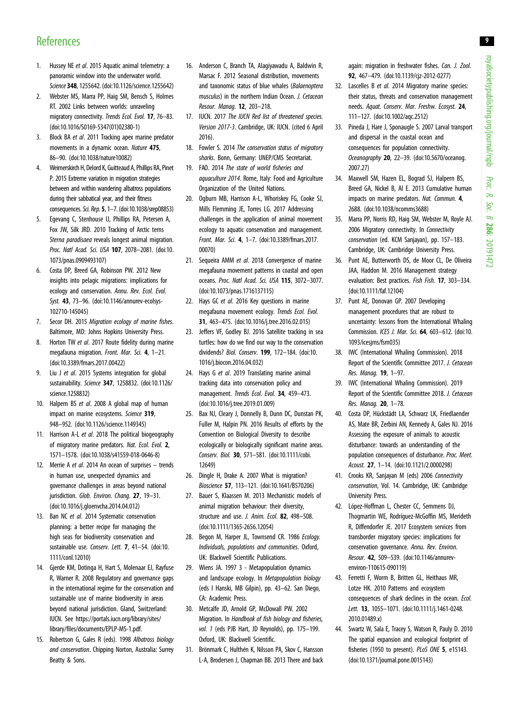### <span id="page-8-0"></span>**References**

- 1. Hussey NE et al. 2015 Aquatic animal telemetry: a panoramic window into the underwater world. Science 348, 1255642. ([doi:10.1126/science.1255642\)](http://dx.doi.org/10.1126/science.1255642)
- 2. Webster MS, Marra PP, Haig SM, Bensch S, Holmes RT. 2002 Links between worlds: unraveling migratory connectivity. Trends Ecol. Evol. 17, 76–83. [\(doi:10.1016/S0169-5347\(01\)02380-1](http://dx.doi.org/10.1016/S0169-5347(01)02380-1))
- 3. Block BA et al. 2011 Tracking apex marine predator movements in a dynamic ocean. Nature 475, 86–90. [\(doi:10.1038/nature10082\)](http://dx.doi.org/10.1038/nature10082)
- 4. Weimerskirch H, Delord K, Guitteaud A, Phillips RA, Pinet P. 2015 Extreme variation in migration strategies between and within wandering albatross populations during their sabbatical year, and their fitness consequences. Sci. Rep. 5, 1-7. [\(doi:10.1038/srep08853\)](http://dx.doi.org/10.1038/srep08853)
- 5. Egevang C, Stenhouse IJ, Phillips RA, Petersen A, Fox JW, Silk JRD. 2010 Tracking of Arctic terns Sterna paradisaea reveals longest animal migration. Proc. Natl Acad. Sci. USA 107, 2078–2081. ([doi:10.](http://dx.doi.org/10.1073/pnas.0909493107) [1073/pnas.0909493107](http://dx.doi.org/10.1073/pnas.0909493107))
- 6. Costa DP, Breed GA, Robinson PW. 2012 New insights into pelagic migrations: implications for ecology and conservation. Annu. Rev. Ecol. Evol. Syst. 43, 73–96. [\(doi:10.1146/annurev-ecolsys-](http://dx.doi.org/10.1146/annurev-ecolsys-102710-145045)[102710-145045](http://dx.doi.org/10.1146/annurev-ecolsys-102710-145045))
- 7. Secor DH. 2015 Migration ecology of marine fishes. Baltimore, MD: Johns Hopkins University Press.
- 8. Horton TW et al. 2017 Route fidelity during marine megafauna migration. Front. Mar. Sci. 4, 1–21. [\(doi:10.3389/fmars.2017.00422](http://dx.doi.org/10.3389/fmars.2017.00422))
- 9. Liu J et al. 2015 Systems integration for global sustainability. Science 347, 1258832. [\(doi:10.1126/](http://dx.doi.org/10.1126/science.1258832) [science.1258832\)](http://dx.doi.org/10.1126/science.1258832)
- 10. Halpern BS et al. 2008 A global map of human impact on marine ecosystems. Science 319, 948–952. ([doi:10.1126/science.1149345\)](http://dx.doi.org/10.1126/science.1149345)
- 11. Harrison A-L et al. 2018 The political biogeography of migratory marine predators. Nat. Ecol. Evol. 2, 1571–1578. [\(doi:10.1038/s41559-018-0646-8\)](http://dx.doi.org/10.1038/s41559-018-0646-8)
- 12. Merrie A et al. 2014 An ocean of surprises trends in human use, unexpected dynamics and governance challenges in areas beyond national jurisdiction. Glob. Environ. Chang. 27, 19-31. [\(doi:10.1016/j.gloenvcha.2014.04.012](http://dx.doi.org/10.1016/j.gloenvcha.2014.04.012))
- 13. Ban NC et al. 2014 Systematic conservation planning: a better recipe for managing the high seas for biodiversity conservation and sustainable use. Conserv. Lett. 7, 41-54. [\(doi:10.](http://dx.doi.org/10.1111/conl.12010) [1111/conl.12010\)](http://dx.doi.org/10.1111/conl.12010)
- 14. Gjerde KM, Dotinga H, Hart S, Molenaar EJ, Rayfuse R, Warner R. 2008 Regulatory and governance gaps in the international regime for the conservation and sustainable use of marine biodiversity in areas beyond national jurisdiction. Gland, Switzerland: IUCN. See [https://portals.iucn.org/library/sites/](https://portals.iucn.org/library/sites/library/files/documents/EPLP-MS-1.pdf) [library/files/documents/EPLP-MS-1.pdf.](https://portals.iucn.org/library/sites/library/files/documents/EPLP-MS-1.pdf)
- 15. Robertson G, Gales R (eds). 1998 Albatross biology and conservation. Chipping Norton, Australia: Surrey Beatty & Sons.
- 16. Anderson C, Branch TA, Alagiyawadu A, Baldwin R, Marsac F. 2012 Seasonal distribution, movements and taxonomic status of blue whales (Balaenoptera musculus) in the northern Indian Ocean. J. Cetacean Resour. Manag. 12, 203–218.
- 17. IUCN. 2017 The IUCN Red list of threatened species. Version 2017-3. Cambridge, UK: IUCN. (cited 6 April 2016).
- 18. Fowler S. 2014 The conservation status of miaratory sharks. Bonn, Germany: UNEP/CMS Secretariat.
- 19. FAO. 2014 The state of world fisheries and aquaculture 2014. Rome, Italy: Food and Agriculture Organization of the United Nations.
- 20. Ogburn MB, Harrison A-L, Whoriskey FG, Cooke SJ, Mills Flemming JE, Torres LG. 2017 Addressing challenges in the application of animal movement ecology to aquatic conservation and management. Front. Mar. Sci. 4, 1–7. ([doi:10.3389/fmars.2017.](http://dx.doi.org/10.3389/fmars.2017.00070) [00070\)](http://dx.doi.org/10.3389/fmars.2017.00070)
- 21. Sequeira AMM et al. 2018 Convergence of marine megafauna movement patterns in coastal and open oceans. Proc. Natl Acad. Sci. USA 115, 3072–3077. [\(doi:10.1073/pnas.1716137115\)](http://dx.doi.org/10.1073/pnas.1716137115)
- 22. Hays GC et al. 2016 Key questions in marine megafauna movement ecology. Trends Ecol. Evol. 31, 463–475. ([doi:10.1016/j.tree.2016.02.015\)](http://dx.doi.org/10.1016/j.tree.2016.02.015)
- 23. Jeffers VF, Godley BJ. 2016 Satellite tracking in sea turtles: how do we find our way to the conservation dividends? Biol. Conserv. 199, 172–184. [\(doi:10.](http://dx.doi.org/10.1016/j.biocon.2016.04.032) [1016/j.biocon.2016.04.032\)](http://dx.doi.org/10.1016/j.biocon.2016.04.032)
- 24. Hays G et al. 2019 Translating marine animal tracking data into conservation policy and management. Trends Ecol. Evol. 34, 459-473. [\(doi:10.1016/j.tree.2019.01.009](http://dx.doi.org/10.1016/j.tree.2019.01.009))
- 25. Bax NJ, Cleary J, Donnelly B, Dunn DC, Dunstan PK, Fuller M, Halpin PN. 2016 Results of efforts by the Convention on Biological Diversity to describe ecologically or biologically significant marine areas. Conserv. Biol. 30, 571–581. ([doi:10.1111/cobi.](http://dx.doi.org/10.1111/cobi.12649) [12649\)](http://dx.doi.org/10.1111/cobi.12649)
- 26. Dingle H, Drake A. 2007 What is migration? Bioscience 57, 113–121. ([doi:10.1641/B570206](http://dx.doi.org/10.1641/B570206))
- 27. Bauer S, Klaassen M. 2013 Mechanistic models of animal migration behaviour: their diversity, structure and use. J. Anim. Ecol. 82, 498-508. [\(doi:10.1111/1365-2656.12054\)](http://dx.doi.org/10.1111/1365-2656.12054)
- 28. Begon M, Harper JL, Townsend CR. 1986 Ecology. Individuals, populations and communities. Oxford, UK: Blackwell Scientific Publications.
- 29. Wiens JA. 1997 3 Metapopulation dynamics and landscape ecology. In Metapopulation biology (eds I Hanski, MB Gilpin), pp. 43–62. San Diego, CA: Academic Press.
- 30. Metcalfe JD, Arnold GP, McDowall PW. 2002 Migration. In Handbook of fish biology and fisheries, vol. 1 (eds PJB Hart, JD Reynolds), pp. 175–199. Oxford, UK: Blackwell Scientific.
- 31. Brönmark C, Hulthén K, Nilsson PA, Skov C, Hansson L-A, Brodersen J, Chapman BB. 2013 There and back

again: migration in freshwater fishes. Can. J. Zool. 92, 467–479. ([doi:10.1139/cjz-2012-0277](http://dx.doi.org/10.1139/cjz-2012-0277))

- 32. Lascelles B et al. 2014 Migratory marine species: their status, threats and conservation management needs. Aquat. Conserv. Mar. Freshw. Ecosyst. 24, 111–127. [\(doi:10.1002/aqc.2512\)](http://dx.doi.org/10.1002/aqc.2512)
- 33. Pineda J, Hare J, Sponaugle S. 2007 Larval transport and dispersal in the coastal ocean and consequences for population connectivity. Oceanography 20, 22–39. [\(doi:10.5670/oceanog.](http://dx.doi.org/10.5670/oceanog.2007.27) [2007.27\)](http://dx.doi.org/10.5670/oceanog.2007.27)
- 34. Maxwell SM, Hazen EL, Bograd SJ, Halpern BS, Breed GA, Nickel B, Al E. 2013 Cumulative human impacts on marine predators. Nat. Commun. 4, 2688. [\(doi:10.1038/ncomms3688](http://dx.doi.org/10.1038/ncomms3688))
- 35. Marra PP, Norris RD, Haig SM, Webster M, Royle AJ. 2006 Migratory connectivity. In Connectivity conservation (ed. KCM Sanjayan), pp. 157–183. Cambridge, UK: Cambridge University Press.
- 36. Punt AE, Butterworth DS, de Moor CL, De Oliveira JAA, Haddon M. 2016 Management strategy evaluation: Best practices. Fish Fish. 17, 303–334. ([doi:10.1111/faf.12104](http://dx.doi.org/10.1111/faf.12104))
- 37. Punt AE, Donovan GP. 2007 Developing management procedures that are robust to uncertainty: lessons from the International Whaling Commission. ICES J. Mar. Sci. 64, 603–612. [\(doi:10.](http://dx.doi.org/10.1093/icesjms/fsm035) [1093/icesjms/fsm035\)](http://dx.doi.org/10.1093/icesjms/fsm035)
- 38. IWC (International Whaling Commission). 2018 Report of the Scientific Committee 2017. J. Cetacean Res. Manag. 19, 1–97.
- 39. IWC (International Whaling Commission). 2019 Report of the Scientific Committee 2018. J. Cetacean Res. Manag. 20, 1–78.
- 40. Costa DP, Hückstädt LA, Schwarz LK, Friedlaender AS, Mate BR, Zerbini AN, Kennedy A, Gales NJ. 2016 Assessing the exposure of animals to acoustic disturbance: towards an understanding of the population consequences of disturbance. Proc. Meet. Acoust. 27, 1–14. ([doi:10.1121/2.0000298\)](http://dx.doi.org/10.1121/2.0000298)
- 41. Crooks KR, Sanjayan M (eds) 2006 Connectivity conservation, Vol. 14. Cambridge, UK: Cambridge University Press.
- 42. López-Hoffman L, Chester CC, Semmens DJ, Thogmartin WE, Rodríguez-McGoffin MS, Merideth R, Diffendorfer JE. 2017 Ecosystem services from transborder migratory species: implications for conservation governance. Annu. Rev. Environ. Resour. 42, 509–539. [\(doi:10.1146/annurev](http://dx.doi.org/10.1146/annurev-environ-110615-090119)[environ-110615-090119](http://dx.doi.org/10.1146/annurev-environ-110615-090119))
- 43. Ferretti F, Worm B, Britten GL, Heithaus MR, Lotze HK. 2010 Patterns and ecosystem consequences of shark declines in the ocean. Ecol. Lett. 13, 1055–1071. [\(doi:10.1111/j.1461-0248.](http://dx.doi.org/10.1111/j.1461-0248.2010.01489.x) [2010.01489.x](http://dx.doi.org/10.1111/j.1461-0248.2010.01489.x))
- 44. Swartz W, Sala E, Tracey S, Watson R, Pauly D. 2010 The spatial expansion and ecological footprint of fisheries (1950 to present). PLoS ONE 5, e15143. ([doi:10.1371/journal.pone.0015143](http://dx.doi.org/10.1371/journal.pone.0015143))